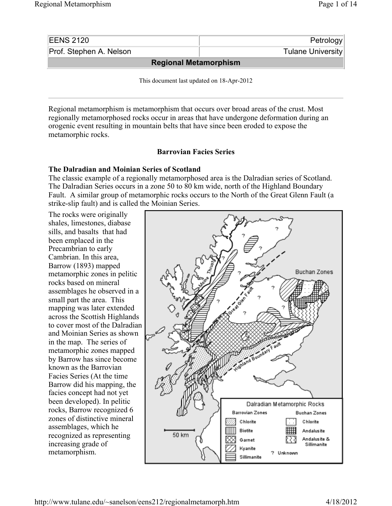| <b>EENS 2120</b>             | Petrology         |  |  |  |
|------------------------------|-------------------|--|--|--|
| Prof. Stephen A. Nelson      | Tulane University |  |  |  |
| <b>Regional Metamorphism</b> |                   |  |  |  |

This document last updated on 18-Apr-2012

Regional metamorphism is metamorphism that occurs over broad areas of the crust. Most regionally metamorphosed rocks occur in areas that have undergone deformation during an orogenic event resulting in mountain belts that have since been eroded to expose the metamorphic rocks.

# **Barrovian Facies Series**

# **The Dalradian and Moinian Series of Scotland**

The classic example of a regionally metamorphosed area is the Dalradian series of Scotland. The Dalradian Series occurs in a zone 50 to 80 km wide, north of the Highland Boundary Fault. A similar group of metamorphic rocks occurs to the North of the Great Glenn Fault (a strike-slip fault) and is called the Moinian Series.

The rocks were originally shales, limestones, diabase sills, and basalts that had been emplaced in the Precambrian to early Cambrian. In this area, Barrow (1893) mapped metamorphic zones in pelitic rocks based on mineral assemblages he observed in a small part the area. This mapping was later extended across the Scottish Highlands to cover most of the Dalradian and Moinian Series as shown in the map. The series of metamorphic zones mapped by Barrow has since become known as the Barrovian Facies Series (At the time Barrow did his mapping, the facies concept had not yet been developed). In pelitic rocks, Barrow recognized 6 zones of distinctive mineral assemblages, which he recognized as representing increasing grade of metamorphism.

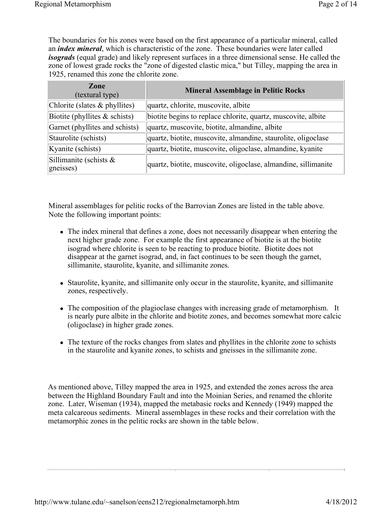The boundaries for his zones were based on the first appearance of a particular mineral, called an *index mineral*, which is characteristic of the zone. These boundaries were later called *isograds* (equal grade) and likely represent surfaces in a three dimensional sense. He called the zone of lowest grade rocks the "zone of digested clastic mica," but Tilley, mapping the area in 1925, renamed this zone the chlorite zone.

| Zone<br>(textural type)                | <b>Mineral Assemblage in Pelitic Rocks</b>                     |
|----------------------------------------|----------------------------------------------------------------|
| Chlorite (slates & phyllites)          | quartz, chlorite, muscovite, albite                            |
| Biotite (phyllites $&$ schists)        | biotite begins to replace chlorite, quartz, muscovite, albite  |
| Garnet (phyllites and schists)         | quartz, muscovite, biotite, almandine, albite                  |
| Staurolite (schists)                   | quartz, biotite, muscovite, almandine, staurolite, oligoclase  |
| Kyanite (schists)                      | quartz, biotite, muscovite, oligoclase, almandine, kyanite     |
| Sillimanite (schists $\&$<br>gneisses) | quartz, biotite, muscovite, oligoclase, almandine, sillimanite |

Mineral assemblages for pelitic rocks of the Barrovian Zones are listed in the table above. Note the following important points:

- The index mineral that defines a zone, does not necessarily disappear when entering the next higher grade zone. For example the first appearance of biotite is at the biotite isograd where chlorite is seen to be reacting to produce biotite. Biotite does not disappear at the garnet isograd, and, in fact continues to be seen though the garnet, sillimanite, staurolite, kyanite, and sillimanite zones.
- Staurolite, kyanite, and sillimanite only occur in the staurolite, kyanite, and sillimanite zones, respectively.
- The composition of the plagioclase changes with increasing grade of metamorphism. It is nearly pure albite in the chlorite and biotite zones, and becomes somewhat more calcic (oligoclase) in higher grade zones.
- The texture of the rocks changes from slates and phyllites in the chlorite zone to schists in the staurolite and kyanite zones, to schists and gneisses in the sillimanite zone.

As mentioned above, Tilley mapped the area in 1925, and extended the zones across the area between the Highland Boundary Fault and into the Moinian Series, and renamed the chlorite zone. Later, Wiseman (1934), mapped the metabasic rocks and Kennedy (1949) mapped the meta calcareous sediments. Mineral assemblages in these rocks and their correlation with the metamorphic zones in the pelitic rocks are shown in the table below.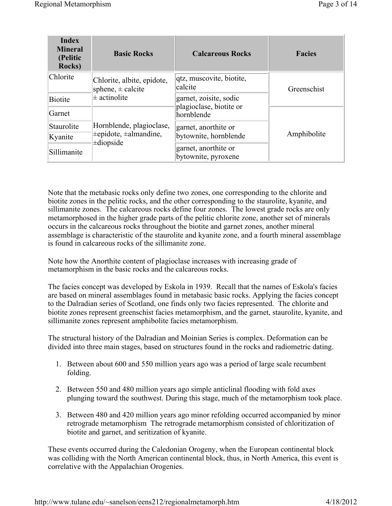| <b>Index</b><br><b>Mineral</b><br>(Pelitic<br>Rocks) | <b>Basic Rocks</b>                                                      | <b>Calcareous Rocks</b>                     | <b>Facies</b> |
|------------------------------------------------------|-------------------------------------------------------------------------|---------------------------------------------|---------------|
| Chlorite                                             | Chlorite, albite, epidote,<br>sphene, $\pm$ calcite<br>$\pm$ actinolite | qtz, muscovite, biotite,<br>calcite         | Greenschist   |
| <b>Biotite</b>                                       |                                                                         | garnet, zoisite, sodic                      |               |
| Garnet                                               |                                                                         | plagioclase, biotite or<br>hornblende       |               |
| Staurolite                                           | Hornblende, plagioclase,                                                | garnet, anorthite or                        |               |
| Kyanite                                              | $\pm$ epidote, $\pm$ almandine,<br>$\pm$ diopside                       | bytownite, hornblende                       | Amphibolite   |
| Sillimanite                                          |                                                                         | garnet, anorthite or<br>bytownite, pyroxene |               |

Note that the metabasic rocks only define two zones, one corresponding to the chlorite and biotite zones in the pelitic rocks, and the other corresponding to the staurolite, kyanite, and sillimanite zones. The calcareous rocks define four zones. The lowest grade rocks are only metamorphosed in the higher grade parts of the pelitic chlorite zone, another set of minerals occurs in the calcareous rocks throughout the biotite and garnet zones, another mineral assemblage is characteristic of the staurolite and kyanite zone, and a fourth mineral assemblage is found in calcareous rocks of the sillimanite zone.

Note how the Anorthite content of plagioclase increases with increasing grade of metamorphism in the basic rocks and the calcareous rocks.

The facies concept was developed by Eskola in 1939. Recall that the names of Eskola's facies are based on mineral assemblages found in metabasic basic rocks. Applying the facies concept to the Dalradian series of Scotland, one finds only two facies represented. The chlorite and biotite zones represent greenschist facies metamorphism, and the garnet, staurolite, kyanite, and sillimanite zones represent amphibolite facies metamorphism.

The structural history of the Dalradian and Moinian Series is complex. Deformation can be divided into three main stages, based on structures found in the rocks and radiometric dating.

- 1. Between about 600 and 550 million years ago was a period of large scale recumbent folding.
- 2. Between 550 and 480 million years ago simple anticlinal flooding with fold axes plunging toward the southwest. During this stage, much of the metamorphism took place.
- 3. Between 480 and 420 million years ago minor refolding occurred accompanied by minor retrograde metamorphism The retrograde metamorphism consisted of chloritization of biotite and garnet, and seritization of kyanite.

These events occurred during the Caledonian Orogeny, when the European continental block was colliding with the North American continental block, thus, in North America, this event is correlative with the Appalachian Orogenies.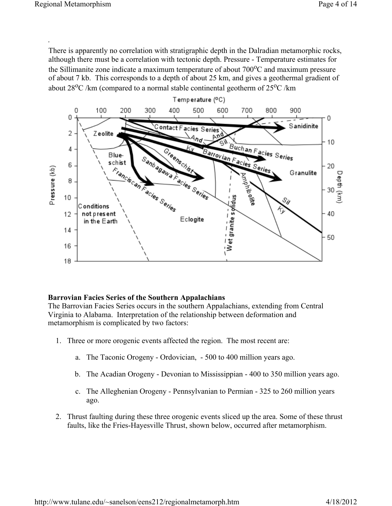.

There is apparently no correlation with stratigraphic depth in the Dalradian metamorphic rocks, although there must be a correlation with tectonic depth. Pressure - Temperature estimates for the Sillimanite zone indicate a maximum temperature of about  $700^{\circ}$ C and maximum pressure of about 7 kb. This corresponds to a depth of about 25 km, and gives a geothermal gradient of about  $28\text{°C}$  /km (compared to a normal stable continental geotherm of  $25\text{°C}$  /km



## **Barrovian Facies Series of the Southern Appalachians**

The Barrovian Facies Series occurs in the southern Appalachians, extending from Central Virginia to Alabama. Interpretation of the relationship between deformation and metamorphism is complicated by two factors:

- 1. Three or more orogenic events affected the region. The most recent are:
	- a. The Taconic Orogeny Ordovician, 500 to 400 million years ago.
	- b. The Acadian Orogeny Devonian to Mississippian 400 to 350 million years ago.
	- c. The Alleghenian Orogeny Pennsylvanian to Permian 325 to 260 million years ago.
- 2. Thrust faulting during these three orogenic events sliced up the area. Some of these thrust faults, like the Fries-Hayesville Thrust, shown below, occurred after metamorphism.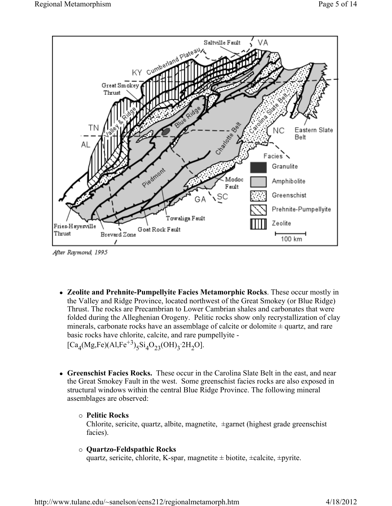

After Raymond, 1995

• Zeolite and Prehnite-Pumpellyite Facies Metamorphic Rocks. These occur mostly in the Valley and Ridge Province, located northwest of the Great Smokey (or Blue Ridge) Thrust. The rocks are Precambrian to Lower Cambrian shales and carbonates that were folded during the Alleghenian Orogeny. Pelitic rocks show only recrystallization of clay minerals, carbonate rocks have an assemblage of calcite or dolomite  $\pm$  quartz, and rare basic rocks have chlorite, calcite, and rare pumpellyite -  $[Ca_4(Mg,Fe)(Al,Fe^{+3})_5Si_4O_{23}(OH)_3.2H_2O].$ 

• Greenschist Facies Rocks. These occur in the Carolina Slate Belt in the east, and near the Great Smokey Fault in the west. Some greenschist facies rocks are also exposed in structural windows within the central Blue Ridge Province. The following mineral assemblages are observed:

## { **Pelitic Rocks**

Chlorite, sericite, quartz, albite, magnetite, ±garnet (highest grade greenschist facies).

### { **Quartzo-Feldspathic Rocks**

quartz, sericite, chlorite, K-spar, magnetite  $\pm$  biotite,  $\pm$ calcite,  $\pm$ pyrite.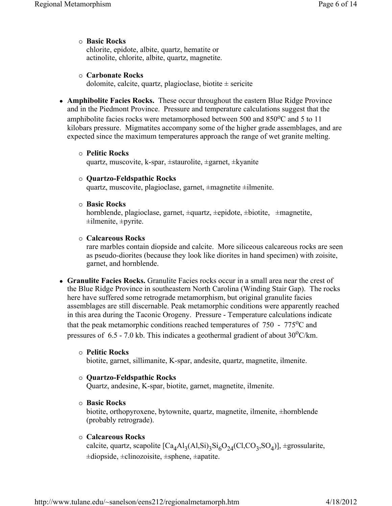### { **Basic Rocks**

chlorite, epidote, albite, quartz, hematite or actinolite, chlorite, albite, quartz, magnetite.

### { **Carbonate Rocks**

dolomite, calcite, quartz, plagioclase, biotite  $\pm$  sericite

• **Amphibolite Facies Rocks.** These occur throughout the eastern Blue Ridge Province and in the Piedmont Province. Pressure and temperature calculations suggest that the amphibolite facies rocks were metamorphosed between 500 and  $850^{\circ}$ C and 5 to 11 kilobars pressure. Migmatites accompany some of the higher grade assemblages, and are expected since the maximum temperatures approach the range of wet granite melting.

#### { **Pelitic Rocks**

quartz, muscovite, k-spar, ±staurolite, ±garnet, ±kyanite

#### { **Quartzo-Feldspathic Rocks**

quartz, muscovite, plagioclase, garnet, ±magnetite ±ilmenite.

{ **Basic Rocks**

hornblende, plagioclase, garnet, ±quartz, ±epidote, ±biotite, ±magnetite,  $\pm$ ilmenite,  $\pm$ pyrite.

#### { **Calcareous Rocks**

rare marbles contain diopside and calcite. More siliceous calcareous rocks are seen as pseudo-diorites (because they look like diorites in hand specimen) with zoisite, garnet, and hornblende.

• Granulite Facies Rocks. Granulite Facies rocks occur in a small area near the crest of the Blue Ridge Province in southeastern North Carolina (Winding Stair Gap). The rocks here have suffered some retrograde metamorphism, but original granulite facies assemblages are still discernable. Peak metamorphic conditions were apparently reached in this area during the Taconic Orogeny. Pressure - Temperature calculations indicate that the peak metamorphic conditions reached temperatures of  $750 - 775^{\circ}$ C and pressures of  $6.5$  - 7.0 kb. This indicates a geothermal gradient of about  $30^{\circ}$ C/km.

#### { **Pelitic Rocks**

biotite, garnet, sillimanite, K-spar, andesite, quartz, magnetite, ilmenite.

### { **Quartzo-Feldspathic Rocks**

Quartz, andesine, K-spar, biotite, garnet, magnetite, ilmenite.

{ **Basic Rocks**

biotite, orthopyroxene, bytownite, quartz, magnetite, ilmenite, ±hornblende (probably retrograde).

### { **Calcareous Rocks**

calcite, quartz, scapolite  $\left[Ca_{4}Al_{3}(Al,Si)_{3}Si_{6}O_{24}(Cl,CO_{3},SO_{4})\right]$ ,  $\pm$ grossularite,  $\pm$ diopside,  $\pm$ clinozoisite,  $\pm$ sphene,  $\pm$ apatite.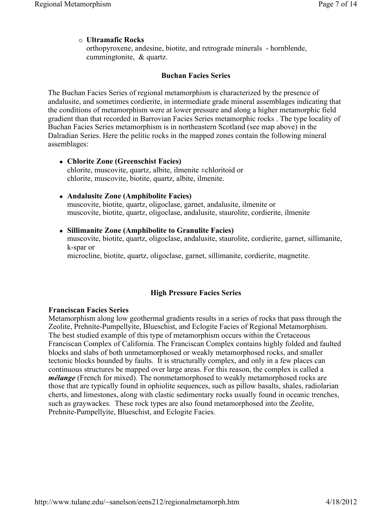## { **Ultramafic Rocks**

orthopyroxene, andesine, biotite, and retrograde minerals - hornblende, cummingtonite, & quartz.

### **Buchan Facies Series**

The Buchan Facies Series of regional metamorphism is characterized by the presence of andalusite, and sometimes cordierite, in intermediate grade mineral assemblages indicating that the conditions of metamorphism were at lower pressure and along a higher metamorphic field gradient than that recorded in Barrovian Facies Series metamorphic rocks . The type locality of Buchan Facies Series metamorphism is in northeastern Scotland (see map above) in the Dalradian Series. Here the pelitic rocks in the mapped zones contain the following mineral assemblages:

<sup>z</sup> **Chlorite Zone (Greenschist Facies)** chlorite, muscovite, quartz, albite, ilmenite ±chloritoid or chlorite, muscovite, biotite, quartz, albite, ilmenite.

### <sup>z</sup> **Andalusite Zone (Amphibolite Facies)**

muscovite, biotite, quartz, oligoclase, garnet, andalusite, ilmenite or muscovite, biotite, quartz, oligoclase, andalusite, staurolite, cordierite, ilmenite

<sup>z</sup> **Sillimanite Zone (Amphibolite to Granulite Facies)** muscovite, biotite, quartz, oligoclase, andalusite, staurolite, cordierite, garnet, sillimanite, k-spar or microcline, biotite, quartz, oligoclase, garnet, sillimanite, cordierite, magnetite.

## **High Pressure Facies Series**

### **Franciscan Facies Series**

Metamorphism along low geothermal gradients results in a series of rocks that pass through the Zeolite, Prehnite-Pumpellyite, Blueschist, and Eclogite Facies of Regional Metamorphism. The best studied example of this type of metamorphism occurs within the Cretaceous Franciscan Complex of California. The Franciscan Complex contains highly folded and faulted blocks and slabs of both unmetamorphosed or weakly metamorphosed rocks, and smaller tectonic blocks bounded by faults. It is structurally complex, and only in a few places can continuous structures be mapped over large areas. For this reason, the complex is called a *mélange* (French for mixed). The nonmetamorphosed to weakly metamorphosed rocks are those that are typically found in ophiolite sequences, such as pillow basalts, shales, radiolarian cherts, and limestones, along with clastic sedimentary rocks usually found in oceanic trenches, such as graywackes. These rock types are also found metamorphosed into the Zeolite, Prehnite-Pumpellyite, Blueschist, and Eclogite Facies.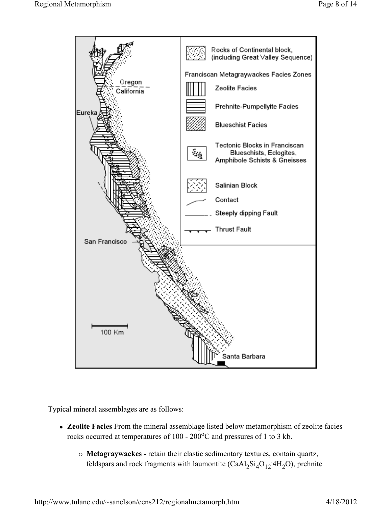

Typical mineral assemblages are as follows:

- Zeolite Facies From the mineral assemblage listed below metamorphism of zeolite facies rocks occurred at temperatures of 100 - 200°C and pressures of 1 to 3 kb.
	- { **Metagraywackes -** retain their clastic sedimentary textures, contain quartz, feldspars and rock fragments with laumontite  $(CaAl<sub>2</sub>Si<sub>4</sub>O<sub>12</sub>·4H<sub>2</sub>O)$ , prehnite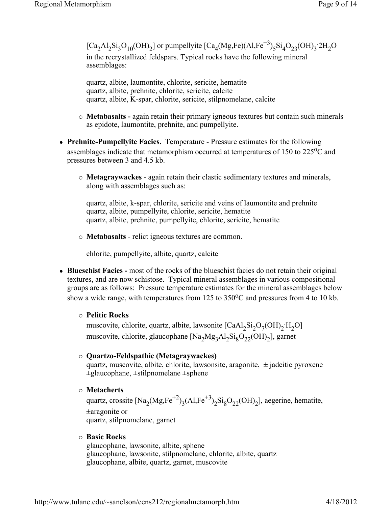$[Ca_2Al_2Si_3O_{10}(OH)_2]$  or pumpellyite  $[Ca_4(Mg,Fe)(Al,Fe^{+3})_5Si_4O_{23}(OH)_3^2CH_2O$ in the recrystallized feldspars. Typical rocks have the following mineral assemblages:

quartz, albite, laumontite, chlorite, sericite, hematite quartz, albite, prehnite, chlorite, sericite, calcite quartz, albite, K-spar, chlorite, sericite, stilpnomelane, calcite

- { **Metabasalts -** again retain their primary igneous textures but contain such minerals as epidote, laumontite, prehnite, and pumpellyite.
- **Prehnite-Pumpellyite Facies.** Temperature Pressure estimates for the following assemblages indicate that metamorphism occurred at temperatures of  $150$  to  $225^{\circ}$ C and pressures between 3 and 4.5 kb.
	- { **Metagraywackes**  again retain their clastic sedimentary textures and minerals, along with assemblages such as:

quartz, albite, k-spar, chlorite, sericite and veins of laumontite and prehnite quartz, albite, pumpellyite, chlorite, sericite, hematite quartz, albite, prehnite, pumpellyite, chlorite, sericite, hematite

{ **Metabasalts** - relict igneous textures are common.

chlorite, pumpellyite, albite, quartz, calcite

• Blueschist Facies - most of the rocks of the blueschist facies do not retain their original textures, and are now schistose. Typical mineral assemblages in various compositional groups are as follows: Pressure temperature estimates for the mineral assemblages below show a wide range, with temperatures from  $125$  to  $350^{\circ}$ C and pressures from 4 to 10 kb.

# { **Pelitic Rocks**

muscovite, chlorite, quartz, albite, lawsonite  $[CaAl_2Si_2O_7(OH)_2'H_2O]$ muscovite, chlorite, glaucophane  $[Na_2Mg_3Al_2Si_8O_{22}(OH)_2]$ , garnet

# { **Quartzo-Feldspathic (Metagraywackes)**

quartz, muscovite, albite, chlorite, lawsonsite, aragonite,  $\pm$  jadeitic pyroxene  $\pm$ glaucophane,  $\pm$ stilpnomelane  $\pm$ sphene

# { **Metacherts**

quartz, crossite  $[Na_2(Mg,Fe^{+2})_3(Al,Fe^{+3})_2Si_8O_{22}(OH)_2]$ , aegerine, hematite, ±aragonite or quartz, stilpnomelane, garnet

# { **Basic Rocks**

glaucophane, lawsonite, albite, sphene glaucophane, lawsonite, stilpnomelane, chlorite, albite, quartz glaucophane, albite, quartz, garnet, muscovite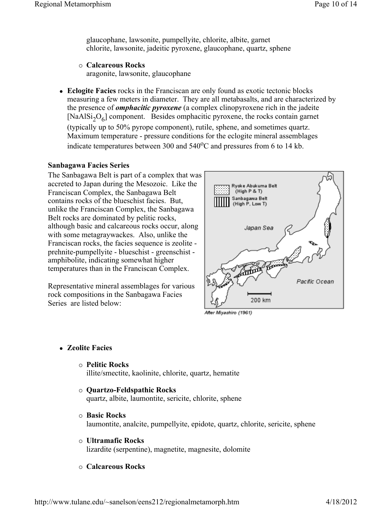glaucophane, lawsonite, pumpellyite, chlorite, albite, garnet chlorite, lawsonite, jadeitic pyroxene, glaucophane, quartz, sphene

{ **Calcareous Rocks**

aragonite, lawsonite, glaucophane

**Eclogite Facies** rocks in the Franciscan are only found as exotic tectonic blocks measuring a few meters in diameter. They are all metabasalts, and are characterized by the presence of *omphacitic pyroxene* (a complex clinopyroxene rich in the jadeite  $[NaA|Si<sub>2</sub>O<sub>6</sub>]$  component. Besides omphacitic pyroxene, the rocks contain garnet (typically up to 50% pyrope component), rutile, sphene, and sometimes quartz. Maximum temperature - pressure conditions for the eclogite mineral assemblages

# indicate temperatures between 300 and  $540^{\circ}$ C and pressures from 6 to 14 kb.

## **Sanbagawa Facies Series**

The Sanbagawa Belt is part of a complex that was accreted to Japan during the Mesozoic. Like the Franciscan Complex, the Sanbagawa Belt contains rocks of the blueschist facies. But, unlike the Franciscan Complex, the Sanbagawa Belt rocks are dominated by pelitic rocks, although basic and calcareous rocks occur, along with some metagraywackes. Also, unlike the Franciscan rocks, the facies sequence is zeolite prehnite-pumpellyite - blueschist - greenschist amphibolite, indicating somewhat higher temperatures than in the Franciscan Complex.

Representative mineral assemblages for various rock compositions in the Sanbagawa Facies Series are listed below:



After Miyashiro (1961)

- <sup>z</sup> **Zeolite Facies**
	- { **Pelitic Rocks**

illite/smectite, kaolinite, chlorite, quartz, hematite

- { **Quartzo-Feldspathic Rocks** quartz, albite, laumontite, sericite, chlorite, sphene
- { **Basic Rocks** laumontite, analcite, pumpellyite, epidote, quartz, chlorite, sericite, sphene
- { **Ultramafic Rocks** lizardite (serpentine), magnetite, magnesite, dolomite
- { **Calcareous Rocks**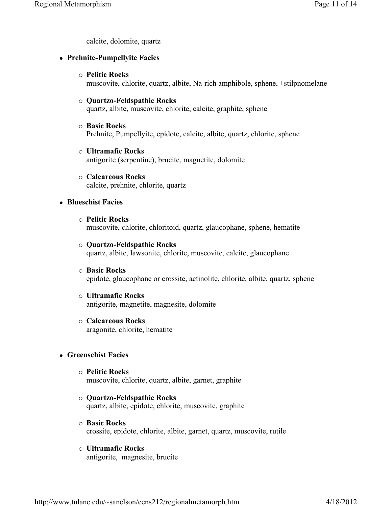calcite, dolomite, quartz

### <sup>z</sup> **Prehnite-Pumpellyite Facies**

{ **Pelitic Rocks**

muscovite, chlorite, quartz, albite, Na-rich amphibole, sphene, ±stilpnomelane

- { **Quartzo-Feldspathic Rocks** quartz, albite, muscovite, chlorite, calcite, graphite, sphene
- { **Basic Rocks** Prehnite, Pumpellyite, epidote, calcite, albite, quartz, chlorite, sphene
- { **Ultramafic Rocks** antigorite (serpentine), brucite, magnetite, dolomite
- { **Calcareous Rocks** calcite, prehnite, chlorite, quartz

### **• Blueschist Facies**

- { **Pelitic Rocks** muscovite, chlorite, chloritoid, quartz, glaucophane, sphene, hematite
- { **Quartzo-Feldspathic Rocks** quartz, albite, lawsonite, chlorite, muscovite, calcite, glaucophane
- { **Basic Rocks** epidote, glaucophane or crossite, actinolite, chlorite, albite, quartz, sphene
- { **Ultramafic Rocks** antigorite, magnetite, magnesite, dolomite
- { **Calcareous Rocks** aragonite, chlorite, hematite

# <sup>z</sup> **Greenschist Facies**

- { **Pelitic Rocks** muscovite, chlorite, quartz, albite, garnet, graphite
- { **Quartzo-Feldspathic Rocks** quartz, albite, epidote, chlorite, muscovite, graphite
- { **Basic Rocks** crossite, epidote, chlorite, albite, garnet, quartz, muscovite, rutile
- { **Ultramafic Rocks** antigorite, magnesite, brucite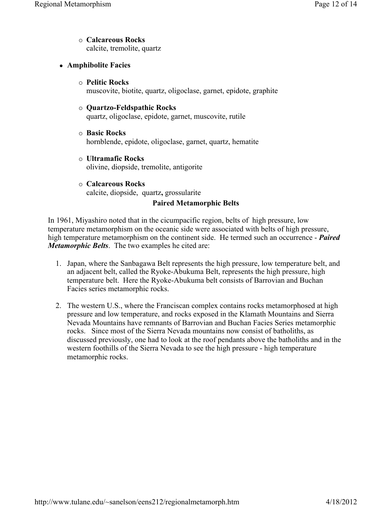- { **Calcareous Rocks** calcite, tremolite, quartz
- **Amphibolite Facies** 
	- { **Pelitic Rocks** muscovite, biotite, quartz, oligoclase, garnet, epidote, graphite
	- { **Quartzo-Feldspathic Rocks** quartz, oligoclase, epidote, garnet, muscovite, rutile
	- { **Basic Rocks** hornblende, epidote, oligoclase, garnet, quartz, hematite
	- { **Ultramafic Rocks** olivine, diopside, tremolite, antigorite
	- { **Calcareous Rocks** calcite, diopside, quartz**,** grossularite

# **Paired Metamorphic Belts**

In 1961, Miyashiro noted that in the cicumpacific region, belts of high pressure, low temperature metamorphism on the oceanic side were associated with belts of high pressure, high temperature metamorphism on the continent side. He termed such an occurrence - *Paired Metamorphic Belts*. The two examples he cited are:

- 1. Japan, where the Sanbagawa Belt represents the high pressure, low temperature belt, and an adjacent belt, called the Ryoke-Abukuma Belt, represents the high pressure, high temperature belt. Here the Ryoke-Abukuma belt consists of Barrovian and Buchan Facies series metamorphic rocks.
- 2. The western U.S., where the Franciscan complex contains rocks metamorphosed at high pressure and low temperature, and rocks exposed in the Klamath Mountains and Sierra Nevada Mountains have remnants of Barrovian and Buchan Facies Series metamorphic rocks. Since most of the Sierra Nevada mountains now consist of batholiths, as discussed previously, one had to look at the roof pendants above the batholiths and in the western foothills of the Sierra Nevada to see the high pressure - high temperature metamorphic rocks.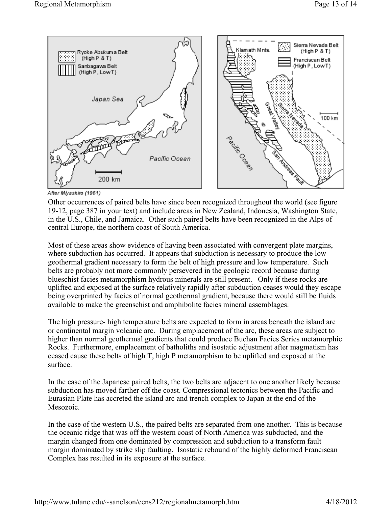

After Miyashiro (1961)

Other occurrences of paired belts have since been recognized throughout the world (see figure 19-12, page 387 in your text) and include areas in New Zealand, Indonesia, Washington State, in the U.S., Chile, and Jamaica. Other such paired belts have been recognized in the Alps of central Europe, the northern coast of South America.

Most of these areas show evidence of having been associated with convergent plate margins, where subduction has occurred. It appears that subduction is necessary to produce the low geothermal gradient necessary to form the belt of high pressure and low temperature. Such belts are probably not more commonly persevered in the geologic record because during blueschist facies metamorphism hydrous minerals are still present. Only if these rocks are uplifted and exposed at the surface relatively rapidly after subduction ceases would they escape being overprinted by facies of normal geothermal gradient, because there would still be fluids available to make the greenschist and amphibolite facies mineral assemblages.

The high pressure- high temperature belts are expected to form in areas beneath the island arc or continental margin volcanic arc. During emplacement of the arc, these areas are subject to higher than normal geothermal gradients that could produce Buchan Facies Series metamorphic Rocks. Furthermore, emplacement of batholiths and isostatic adjustment after magmatism has ceased cause these belts of high T, high P metamorphism to be uplifted and exposed at the surface.

In the case of the Japanese paired belts, the two belts are adjacent to one another likely because subduction has moved farther off the coast. Compressional tectonics between the Pacific and Eurasian Plate has accreted the island arc and trench complex to Japan at the end of the Mesozoic.

In the case of the western U.S., the paired belts are separated from one another. This is because the oceanic ridge that was off the western coast of North America was subducted, and the margin changed from one dominated by compression and subduction to a transform fault margin dominated by strike slip faulting. Isostatic rebound of the highly deformed Franciscan Complex has resulted in its exposure at the surface.